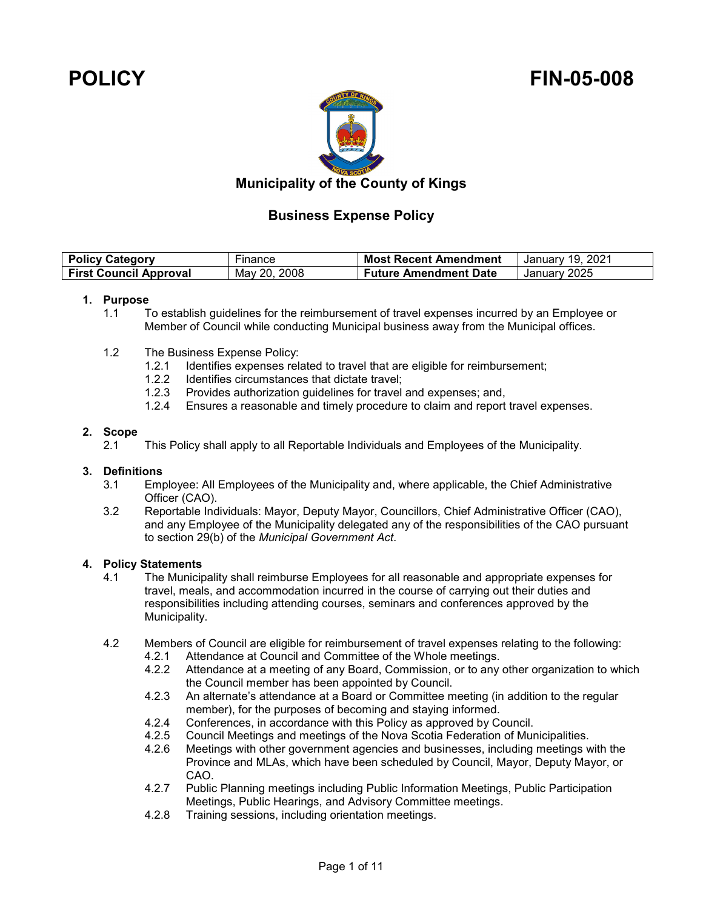# **POLICY FIN-05-008**



## **Municipality of the County of Kings**

## **Business Expense Policy**

| <b>Policy Category</b>        | -inance      | <b>Most Recent Amendment</b> | January 19, 2021 |
|-------------------------------|--------------|------------------------------|------------------|
| <b>First Council Approval</b> | May 20, 2008 | <b>Future Amendment Date</b> | January 2025     |

## **1. Purpose**

- 1.1 To establish guidelines for the reimbursement of travel expenses incurred by an Employee or Member of Council while conducting Municipal business away from the Municipal offices.
- 1.2 The Business Expense Policy:
	- 1.2.1 Identifies expenses related to travel that are eligible for reimbursement;<br>1.2.2 Identifies circumstances that dictate travel:
	- 1.2.2 Identifies circumstances that dictate travel;<br>1.2.3 Provides authorization quidelines for travel
	- Provides authorization guidelines for travel and expenses; and,
	- 1.2.4 Ensures a reasonable and timely procedure to claim and report travel expenses.

## **2. Scope**

2.1 This Policy shall apply to all Reportable Individuals and Employees of the Municipality.

# **3. Definitions**

- Employee: All Employees of the Municipality and, where applicable, the Chief Administrative Officer (CAO).
- 3.2 Reportable Individuals: Mayor, Deputy Mayor, Councillors, Chief Administrative Officer (CAO), and any Employee of the Municipality delegated any of the responsibilities of the CAO pursuant to section 29(b) of the *Municipal Government Act*.

# **4. Policy Statements**

- 4.1 The Municipality shall reimburse Employees for all reasonable and appropriate expenses for travel, meals, and accommodation incurred in the course of carrying out their duties and responsibilities including attending courses, seminars and conferences approved by the Municipality.
- 4.2 Members of Council are eligible for reimbursement of travel expenses relating to the following:<br>4.2.1 Attendance at Council and Committee of the Whole meetings
	- Attendance at Council and Committee of the Whole meetings.
	- 4.2.2 Attendance at a meeting of any Board, Commission, or to any other organization to which the Council member has been appointed by Council.
	- 4.2.3 An alternate's attendance at a Board or Committee meeting (in addition to the regular member), for the purposes of becoming and staying informed.
	- 4.2.4 Conferences, in accordance with this Policy as approved by Council.<br>4.2.5 Council Meetings and meetings of the Nova Scotia Federation of Mur
	- 4.2.5 Council Meetings and meetings of the Nova Scotia Federation of Municipalities.
	- 4.2.6 Meetings with other government agencies and businesses, including meetings with the Province and MLAs, which have been scheduled by Council, Mayor, Deputy Mayor, or CAO.
	- 4.2.7 Public Planning meetings including Public Information Meetings, Public Participation Meetings, Public Hearings, and Advisory Committee meetings.
	- 4.2.8 Training sessions, including orientation meetings.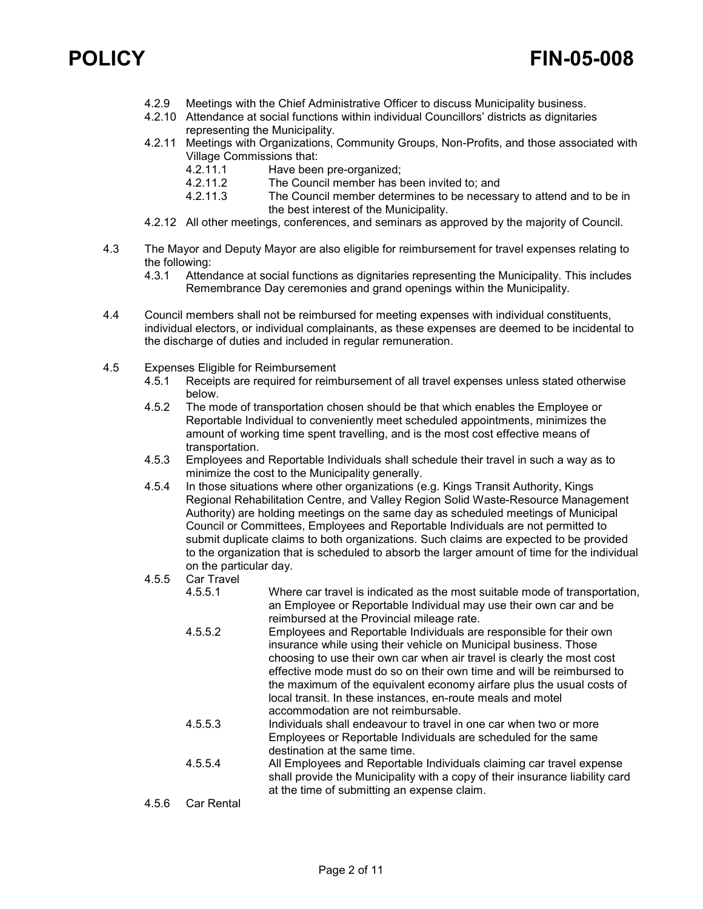- 4.2.9 Meetings with the Chief Administrative Officer to discuss Municipality business.
- 4.2.10 Attendance at social functions within individual Councillors' districts as dignitaries representing the Municipality.
- 4.2.11 Meetings with Organizations, Community Groups, Non-Profits, and those associated with Village Commissions that:
	- 4.2.11.1 Have been pre-organized;<br>4.2.11.2 The Council member has b
	- 4.2.11.2 The Council member has been invited to; and<br>4.2.11.3 The Council member determines to be necess
	- The Council member determines to be necessary to attend and to be in the best interest of the Municipality.
- 4.2.12 All other meetings, conferences, and seminars as approved by the majority of Council.
- 4.3 The Mayor and Deputy Mayor are also eligible for reimbursement for travel expenses relating to the following:
	- 4.3.1 Attendance at social functions as dignitaries representing the Municipality. This includes Remembrance Day ceremonies and grand openings within the Municipality.
- 4.4 Council members shall not be reimbursed for meeting expenses with individual constituents, individual electors, or individual complainants, as these expenses are deemed to be incidental to the discharge of duties and included in regular remuneration.
- 4.5 Expenses Eligible for Reimbursement
	- 4.5.1 Receipts are required for reimbursement of all travel expenses unless stated otherwise below.
	- 4.5.2 The mode of transportation chosen should be that which enables the Employee or Reportable Individual to conveniently meet scheduled appointments, minimizes the amount of working time spent travelling, and is the most cost effective means of transportation.
	- 4.5.3 Employees and Reportable Individuals shall schedule their travel in such a way as to minimize the cost to the Municipality generally.
	- 4.5.4 In those situations where other organizations (e.g. Kings Transit Authority, Kings Regional Rehabilitation Centre, and Valley Region Solid Waste-Resource Management Authority) are holding meetings on the same day as scheduled meetings of Municipal Council or Committees, Employees and Reportable Individuals are not permitted to submit duplicate claims to both organizations. Such claims are expected to be provided to the organization that is scheduled to absorb the larger amount of time for the individual on the particular day.
	- 4.5.5 Car Travel
		- 4.5.5.1 Where car travel is indicated as the most suitable mode of transportation, an Employee or Reportable Individual may use their own car and be reimbursed at the Provincial mileage rate.
		- 4.5.5.2 Employees and Reportable Individuals are responsible for their own insurance while using their vehicle on Municipal business. Those choosing to use their own car when air travel is clearly the most cost effective mode must do so on their own time and will be reimbursed to the maximum of the equivalent economy airfare plus the usual costs of local transit. In these instances, en-route meals and motel accommodation are not reimbursable.
		- 4.5.5.3 Individuals shall endeavour to travel in one car when two or more Employees or Reportable Individuals are scheduled for the same destination at the same time.
		- 4.5.5.4 All Employees and Reportable Individuals claiming car travel expense shall provide the Municipality with a copy of their insurance liability card at the time of submitting an expense claim.
	- 4.5.6 Car Rental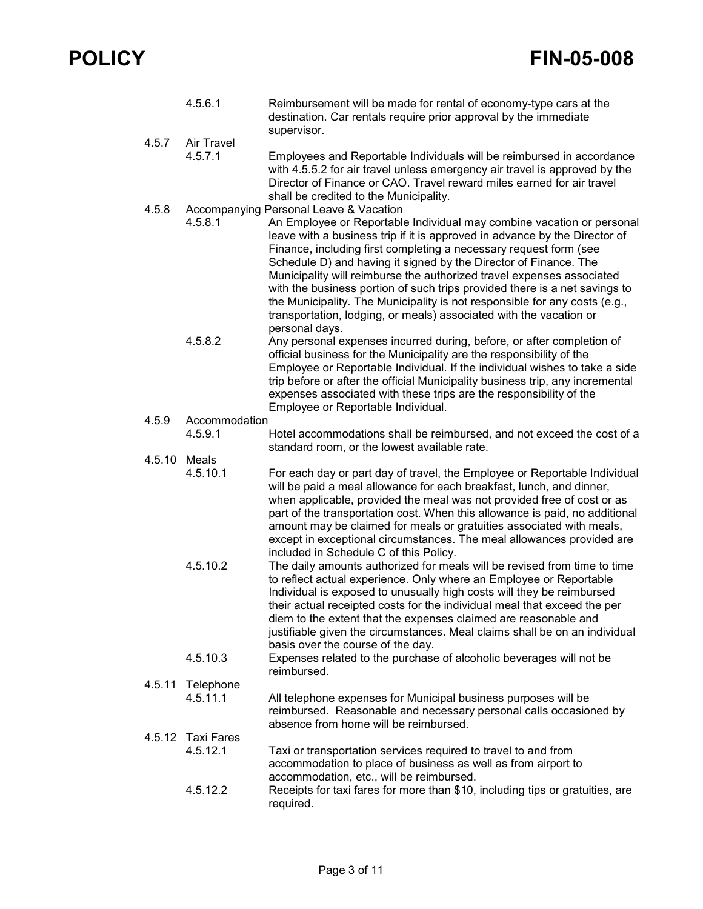|        | 4.5.6.1                       | Reimbursement will be made for rental of economy-type cars at the<br>destination. Car rentals require prior approval by the immediate<br>supervisor.                                                                                                                                                                                                                                                                                                                                                                                                                                                                                                                |
|--------|-------------------------------|---------------------------------------------------------------------------------------------------------------------------------------------------------------------------------------------------------------------------------------------------------------------------------------------------------------------------------------------------------------------------------------------------------------------------------------------------------------------------------------------------------------------------------------------------------------------------------------------------------------------------------------------------------------------|
| 4.5.7  | Air Travel                    |                                                                                                                                                                                                                                                                                                                                                                                                                                                                                                                                                                                                                                                                     |
|        | 4.5.7.1                       | Employees and Reportable Individuals will be reimbursed in accordance<br>with 4.5.5.2 for air travel unless emergency air travel is approved by the<br>Director of Finance or CAO. Travel reward miles earned for air travel<br>shall be credited to the Municipality.                                                                                                                                                                                                                                                                                                                                                                                              |
| 4.5.8  | 4.5.8.1                       | Accompanying Personal Leave & Vacation<br>An Employee or Reportable Individual may combine vacation or personal<br>leave with a business trip if it is approved in advance by the Director of<br>Finance, including first completing a necessary request form (see<br>Schedule D) and having it signed by the Director of Finance. The<br>Municipality will reimburse the authorized travel expenses associated<br>with the business portion of such trips provided there is a net savings to<br>the Municipality. The Municipality is not responsible for any costs (e.g.,<br>transportation, lodging, or meals) associated with the vacation or<br>personal days. |
|        | 4.5.8.2                       | Any personal expenses incurred during, before, or after completion of<br>official business for the Municipality are the responsibility of the<br>Employee or Reportable Individual. If the individual wishes to take a side<br>trip before or after the official Municipality business trip, any incremental<br>expenses associated with these trips are the responsibility of the<br>Employee or Reportable Individual.                                                                                                                                                                                                                                            |
| 4.5.9  | Accommodation                 |                                                                                                                                                                                                                                                                                                                                                                                                                                                                                                                                                                                                                                                                     |
|        | 4.5.9.1                       | Hotel accommodations shall be reimbursed, and not exceed the cost of a<br>standard room, or the lowest available rate.                                                                                                                                                                                                                                                                                                                                                                                                                                                                                                                                              |
| 4.5.10 | Meals<br>4.5.10.1             | For each day or part day of travel, the Employee or Reportable Individual<br>will be paid a meal allowance for each breakfast, lunch, and dinner,<br>when applicable, provided the meal was not provided free of cost or as<br>part of the transportation cost. When this allowance is paid, no additional<br>amount may be claimed for meals or gratuities associated with meals,<br>except in exceptional circumstances. The meal allowances provided are<br>included in Schedule C of this Policy.                                                                                                                                                               |
|        | 4.5.10.2                      | The daily amounts authorized for meals will be revised from time to time<br>to reflect actual experience. Only where an Employee or Reportable<br>Individual is exposed to unusually high costs will they be reimbursed<br>their actual receipted costs for the individual meal that exceed the per<br>diem to the extent that the expenses claimed are reasonable and<br>justifiable given the circumstances. Meal claims shall be on an individual<br>basis over the course of the day.                                                                                                                                                                           |
|        | 4.5.10.3                      | Expenses related to the purchase of alcoholic beverages will not be<br>reimbursed.                                                                                                                                                                                                                                                                                                                                                                                                                                                                                                                                                                                  |
| 4.5.11 | Telephone                     |                                                                                                                                                                                                                                                                                                                                                                                                                                                                                                                                                                                                                                                                     |
|        | 4.5.11.1                      | All telephone expenses for Municipal business purposes will be<br>reimbursed. Reasonable and necessary personal calls occasioned by<br>absence from home will be reimbursed.                                                                                                                                                                                                                                                                                                                                                                                                                                                                                        |
|        | 4.5.12 Taxi Fares<br>4.5.12.1 | Taxi or transportation services required to travel to and from<br>accommodation to place of business as well as from airport to<br>accommodation, etc., will be reimbursed.                                                                                                                                                                                                                                                                                                                                                                                                                                                                                         |
|        | 4.5.12.2                      | Receipts for taxi fares for more than \$10, including tips or gratuities, are<br>required.                                                                                                                                                                                                                                                                                                                                                                                                                                                                                                                                                                          |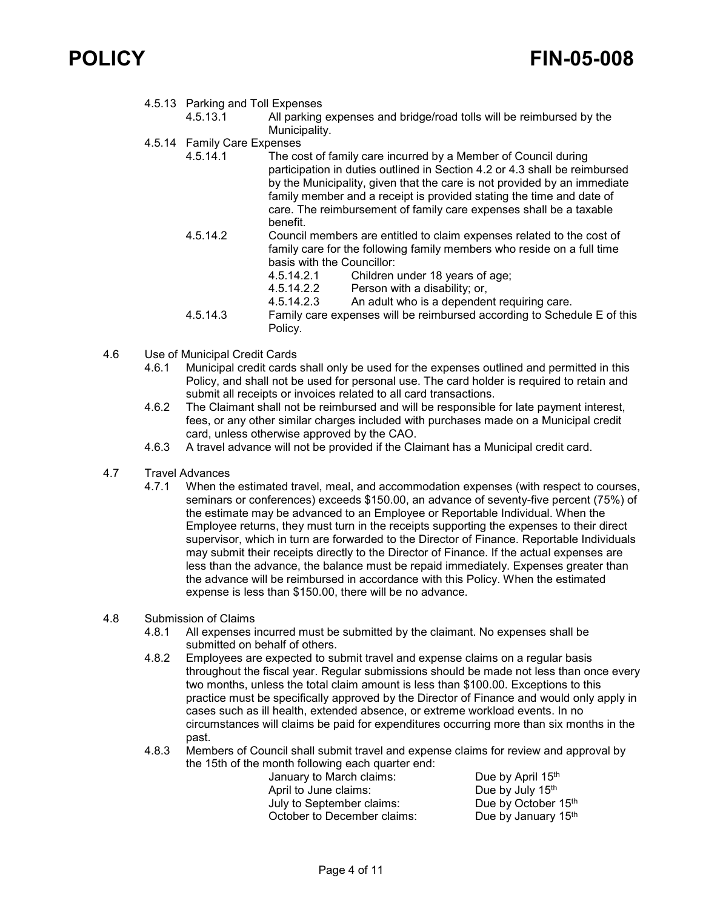

- 4.5.13 Parking and Toll Expenses
	- All parking expenses and bridge/road tolls will be reimbursed by the Municipality.
- 4.5.14 Family Care Expenses<br>4.5.14.1 The co
	- The cost of family care incurred by a Member of Council during participation in duties outlined in Section 4.2 or 4.3 shall be reimbursed by the Municipality, given that the care is not provided by an immediate family member and a receipt is provided stating the time and date of care. The reimbursement of family care expenses shall be a taxable benefit.
	- 4.5.14.2 Council members are entitled to claim expenses related to the cost of family care for the following family members who reside on a full time basis with the Councillor:
		- 4.5.14.2.1 Children under 18 years of age;
		- 4.5.14.2.2 Person with a disability; or,
		- An adult who is a dependent requiring care.
	- 4.5.14.3 Family care expenses will be reimbursed according to Schedule E of this Policy.
- 4.6 Use of Municipal Credit Cards
	- 4.6.1 Municipal credit cards shall only be used for the expenses outlined and permitted in this Policy, and shall not be used for personal use. The card holder is required to retain and submit all receipts or invoices related to all card transactions.
	- 4.6.2 The Claimant shall not be reimbursed and will be responsible for late payment interest, fees, or any other similar charges included with purchases made on a Municipal credit card, unless otherwise approved by the CAO.
	- 4.6.3 A travel advance will not be provided if the Claimant has a Municipal credit card.
- 4.7 Travel Advances
	- 4.7.1 When the estimated travel, meal, and accommodation expenses (with respect to courses, seminars or conferences) exceeds \$150.00, an advance of seventy-five percent (75%) of the estimate may be advanced to an Employee or Reportable Individual. When the Employee returns, they must turn in the receipts supporting the expenses to their direct supervisor, which in turn are forwarded to the Director of Finance. Reportable Individuals may submit their receipts directly to the Director of Finance. If the actual expenses are less than the advance, the balance must be repaid immediately. Expenses greater than the advance will be reimbursed in accordance with this Policy. When the estimated expense is less than \$150.00, there will be no advance.

### 4.8 Submission of Claims

- 4.8.1 All expenses incurred must be submitted by the claimant. No expenses shall be submitted on behalf of others.
- 4.8.2 Employees are expected to submit travel and expense claims on a regular basis throughout the fiscal year. Regular submissions should be made not less than once every two months, unless the total claim amount is less than \$100.00. Exceptions to this practice must be specifically approved by the Director of Finance and would only apply in cases such as ill health, extended absence, or extreme workload events. In no circumstances will claims be paid for expenditures occurring more than six months in the past.
- 4.8.3 Members of Council shall submit travel and expense claims for review and approval by the 15th of the month following each quarter end:

January to March claims: Due by April 15<sup>th</sup><br>April to June claims: Due by July 15<sup>th</sup> April to June claims: July to September claims: Due by October 15th October to December claims: Due by January 15<sup>th</sup>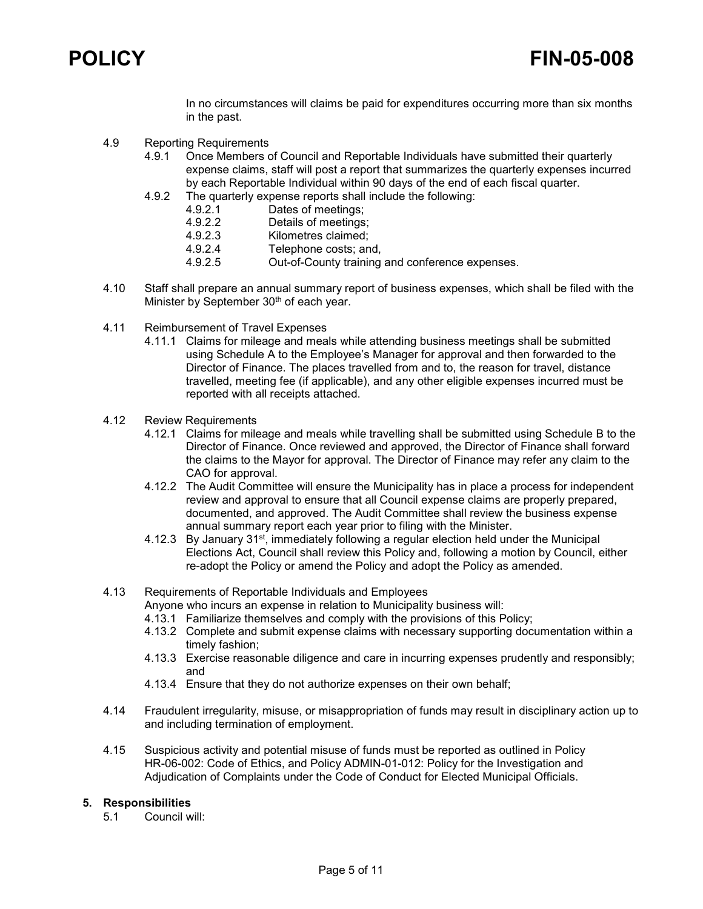

In no circumstances will claims be paid for expenditures occurring more than six months in the past.

- 4.9 Reporting Requirements
	- 4.9.1 Once Members of Council and Reportable Individuals have submitted their quarterly expense claims, staff will post a report that summarizes the quarterly expenses incurred by each Reportable Individual within 90 days of the end of each fiscal quarter.
	- 4.9.2 The quarterly expense reports shall include the following:
		- 4.9.2.1 Dates of meetings;<br>4.9.2.2 Details of meetings
		- 4.9.2.2 Details of meetings;<br>4.9.2.3 Kilometres claimed:
		- Kilometres claimed:
		- 4.9.2.4 Telephone costs; and,
		- 4.9.2.5 Out-of-County training and conference expenses.
- 4.10 Staff shall prepare an annual summary report of business expenses, which shall be filed with the Minister by September 30<sup>th</sup> of each year.
- 4.11 Reimbursement of Travel Expenses
	- 4.11.1 Claims for mileage and meals while attending business meetings shall be submitted using Schedule A to the Employee's Manager for approval and then forwarded to the Director of Finance. The places travelled from and to, the reason for travel, distance travelled, meeting fee (if applicable), and any other eligible expenses incurred must be reported with all receipts attached.
- 4.12 Review Requirements
	- 4.12.1 Claims for mileage and meals while travelling shall be submitted using Schedule B to the Director of Finance. Once reviewed and approved, the Director of Finance shall forward the claims to the Mayor for approval. The Director of Finance may refer any claim to the CAO for approval.
	- 4.12.2 The Audit Committee will ensure the Municipality has in place a process for independent review and approval to ensure that all Council expense claims are properly prepared, documented, and approved. The Audit Committee shall review the business expense annual summary report each year prior to filing with the Minister.
	- 4.12.3 By January 31st, immediately following a regular election held under the Municipal Elections Act, Council shall review this Policy and, following a motion by Council, either re-adopt the Policy or amend the Policy and adopt the Policy as amended.

## 4.13 Requirements of Reportable Individuals and Employees

Anyone who incurs an expense in relation to Municipality business will:

- 4.13.1 Familiarize themselves and comply with the provisions of this Policy;
- 4.13.2 Complete and submit expense claims with necessary supporting documentation within a timely fashion;
- 4.13.3 Exercise reasonable diligence and care in incurring expenses prudently and responsibly; and
- 4.13.4 Ensure that they do not authorize expenses on their own behalf;
- 4.14 Fraudulent irregularity, misuse, or misappropriation of funds may result in disciplinary action up to and including termination of employment.
- 4.15 Suspicious activity and potential misuse of funds must be reported as outlined in Policy HR-06-002: Code of Ethics, and Policy ADMIN-01-012: Policy for the Investigation and Adjudication of Complaints under the Code of Conduct for Elected Municipal Officials.

# **5. Responsibilities**

Council will: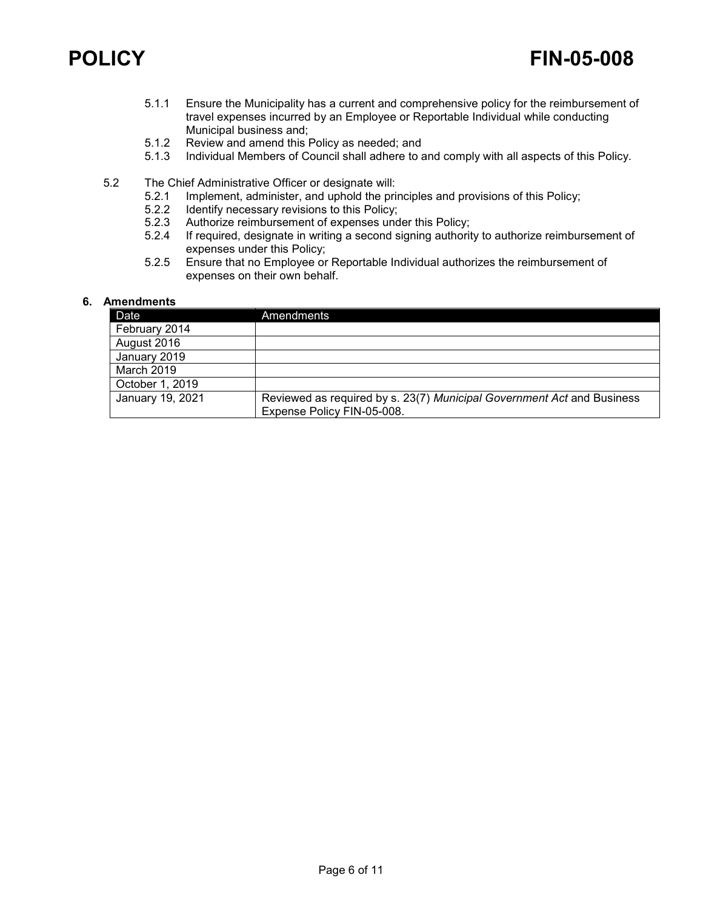- 5.1.1 Ensure the Municipality has a current and comprehensive policy for the reimbursement of travel expenses incurred by an Employee or Reportable Individual while conducting Municipal business and;
- 5.1.2 Review and amend this Policy as needed; and<br>5.1.3 Individual Members of Council shall adhere to a
- Individual Members of Council shall adhere to and comply with all aspects of this Policy.
- 5.2 The Chief Administrative Officer or designate will:<br>5.2.1 Implement, administer, and uphold the pri
	- Implement, administer, and uphold the principles and provisions of this Policy;
	- 5.2.2 Identify necessary revisions to this Policy;<br>5.2.3 Authorize reimbursement of expenses unc
	- 5.2.3 Authorize reimbursement of expenses under this Policy;<br>5.2.4 If required, designate in writing a second signing authorit
	- If required, designate in writing a second signing authority to authorize reimbursement of expenses under this Policy;
	- 5.2.5 Ensure that no Employee or Reportable Individual authorizes the reimbursement of expenses on their own behalf.

## **6. Amendments**

| Date             | Amendments                                                             |
|------------------|------------------------------------------------------------------------|
| February 2014    |                                                                        |
| August 2016      |                                                                        |
| January 2019     |                                                                        |
| March 2019       |                                                                        |
| October 1, 2019  |                                                                        |
| January 19, 2021 | Reviewed as required by s. 23(7) Municipal Government Act and Business |
|                  | Expense Policy FIN-05-008.                                             |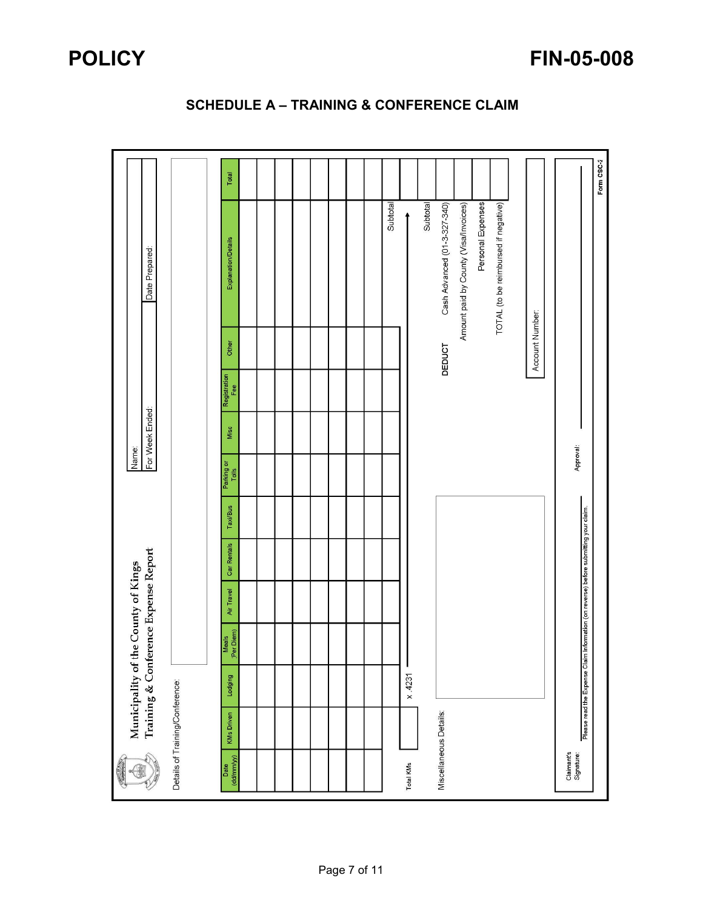|                          |                                 | Municipality of |                     | Training & Conference Expense Report<br>the County of Kings |                                                                                      |                 | Name:               | For Week Ended: |                     |                 | Date Prepared:                        |            |
|--------------------------|---------------------------------|-----------------|---------------------|-------------------------------------------------------------|--------------------------------------------------------------------------------------|-----------------|---------------------|-----------------|---------------------|-----------------|---------------------------------------|------------|
|                          | Details of Training/Conference: |                 |                     |                                                             |                                                                                      |                 |                     |                 |                     |                 |                                       |            |
|                          |                                 |                 |                     |                                                             |                                                                                      |                 |                     |                 |                     |                 |                                       |            |
| (dd/mm/yy)<br>Date       | <b>KMs Driven</b>               | Lodging         | (Per Diem)<br>Meals | Air Travel                                                  | Car Rentals                                                                          | <b>Taxi/Bus</b> | Parking or<br>Tolls | Misc            | Registration<br>Fee | Other           | Explanation/Details                   | Total      |
|                          |                                 |                 |                     |                                                             |                                                                                      |                 |                     |                 |                     |                 |                                       |            |
|                          |                                 |                 |                     |                                                             |                                                                                      |                 |                     |                 |                     |                 |                                       |            |
|                          |                                 |                 |                     |                                                             |                                                                                      |                 |                     |                 |                     |                 |                                       |            |
|                          |                                 |                 |                     |                                                             |                                                                                      |                 |                     |                 |                     |                 |                                       |            |
|                          |                                 |                 |                     |                                                             |                                                                                      |                 |                     |                 |                     |                 |                                       |            |
|                          |                                 |                 |                     |                                                             |                                                                                      |                 |                     |                 |                     |                 |                                       |            |
|                          |                                 |                 |                     |                                                             |                                                                                      |                 |                     |                 |                     |                 |                                       |            |
|                          |                                 |                 |                     |                                                             |                                                                                      |                 |                     |                 |                     |                 |                                       |            |
|                          |                                 |                 |                     |                                                             |                                                                                      |                 |                     |                 |                     |                 | Subtotal                              |            |
| Total KMs                |                                 | x.4231          | J                   |                                                             |                                                                                      |                 |                     |                 |                     |                 |                                       |            |
|                          |                                 |                 |                     |                                                             |                                                                                      |                 |                     |                 |                     |                 | Subtotal                              |            |
|                          | Miscellaneous Details:          |                 |                     |                                                             |                                                                                      |                 |                     |                 |                     | <b>DEDUCT</b>   | Cash Advanced (01-3-327-340)          |            |
|                          |                                 |                 |                     |                                                             |                                                                                      |                 |                     |                 |                     |                 | Amount paid by County (Visa/Invoices) |            |
|                          |                                 |                 |                     |                                                             |                                                                                      |                 |                     |                 |                     |                 | Personal Expenses                     |            |
|                          |                                 |                 |                     |                                                             |                                                                                      |                 |                     |                 |                     |                 | TOTAL (to be reimbursed if negative)  |            |
|                          |                                 |                 |                     |                                                             |                                                                                      |                 |                     |                 |                     |                 |                                       |            |
|                          |                                 |                 |                     |                                                             |                                                                                      |                 |                     |                 |                     | Account Number: |                                       |            |
| Claimant's<br>Signature: |                                 |                 |                     |                                                             | Please read the Expense Claim Information (on reverse) before submitting your claim. |                 | Approval:           |                 |                     |                 |                                       |            |
|                          |                                 |                 |                     |                                                             |                                                                                      |                 |                     |                 |                     |                 |                                       | Form CSC-2 |
|                          |                                 |                 |                     |                                                             |                                                                                      |                 |                     |                 |                     |                 |                                       |            |

## **SCHEDULE A – TRAINING & CONFERENCE CLAIM**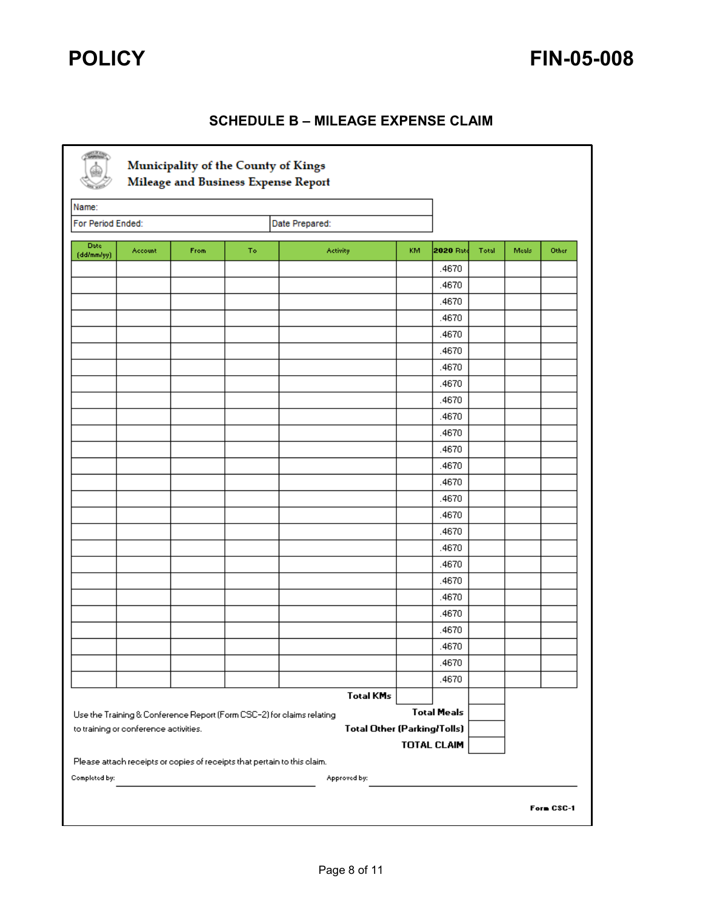## **SCHEDULE B – MILEAGE EXPENSE CLAIM**

| Name:                     |                                       |      |    |                                                                          |     |                    |       |       |       |
|---------------------------|---------------------------------------|------|----|--------------------------------------------------------------------------|-----|--------------------|-------|-------|-------|
| For Period Ended:         |                                       |      |    | Date Prepared:                                                           |     |                    |       |       |       |
| <b>Date</b><br>(dd/mm/yy) | Account                               | From | To | Activity                                                                 | KM. | 2020 Rate          | Total | Meals | Other |
|                           |                                       |      |    |                                                                          |     | .4670              |       |       |       |
|                           |                                       |      |    |                                                                          |     | .4670              |       |       |       |
|                           |                                       |      |    |                                                                          |     | .4670              |       |       |       |
|                           |                                       |      |    |                                                                          |     | .4670              |       |       |       |
|                           |                                       |      |    |                                                                          |     | .4670              |       |       |       |
|                           |                                       |      |    |                                                                          |     | .4670              |       |       |       |
|                           |                                       |      |    |                                                                          |     | .4670              |       |       |       |
|                           |                                       |      |    |                                                                          |     | .4670              |       |       |       |
|                           |                                       |      |    |                                                                          |     | .4670              |       |       |       |
|                           |                                       |      |    |                                                                          |     | .4670              |       |       |       |
|                           |                                       |      |    |                                                                          |     | .4670              |       |       |       |
|                           |                                       |      |    |                                                                          |     | .4670              |       |       |       |
|                           |                                       |      |    |                                                                          |     | .4670              |       |       |       |
|                           |                                       |      |    |                                                                          |     | .4670              |       |       |       |
|                           |                                       |      |    |                                                                          |     | .4670              |       |       |       |
|                           |                                       |      |    |                                                                          |     | .4670              |       |       |       |
|                           |                                       |      |    |                                                                          |     | .4670              |       |       |       |
|                           |                                       |      |    |                                                                          |     | .4670              |       |       |       |
|                           |                                       |      |    |                                                                          |     | .4670              |       |       |       |
|                           |                                       |      |    |                                                                          |     | .4670              |       |       |       |
|                           |                                       |      |    |                                                                          |     | .4670              |       |       |       |
|                           |                                       |      |    |                                                                          |     | .4670              |       |       |       |
|                           |                                       |      |    |                                                                          |     | .4670              |       |       |       |
|                           |                                       |      |    |                                                                          |     | .4670              |       |       |       |
|                           |                                       |      |    |                                                                          |     | .4670              |       |       |       |
|                           |                                       |      |    |                                                                          |     | .4670              |       |       |       |
|                           |                                       |      |    | <b>Total KMs</b>                                                         |     |                    |       |       |       |
|                           |                                       |      |    | Use the Training & Conference Report (Form CSC-2) for claims relating    |     | <b>Total Meals</b> |       |       |       |
|                           | to training or conference activities. |      |    | <b>Total Other (Parking/Tolls)</b>                                       |     |                    |       |       |       |
|                           |                                       |      |    |                                                                          |     | <b>TOTAL CLAIM</b> |       |       |       |
|                           |                                       |      |    | Please attach receipts or copies of receipts that pertain to this claim. |     |                    |       |       |       |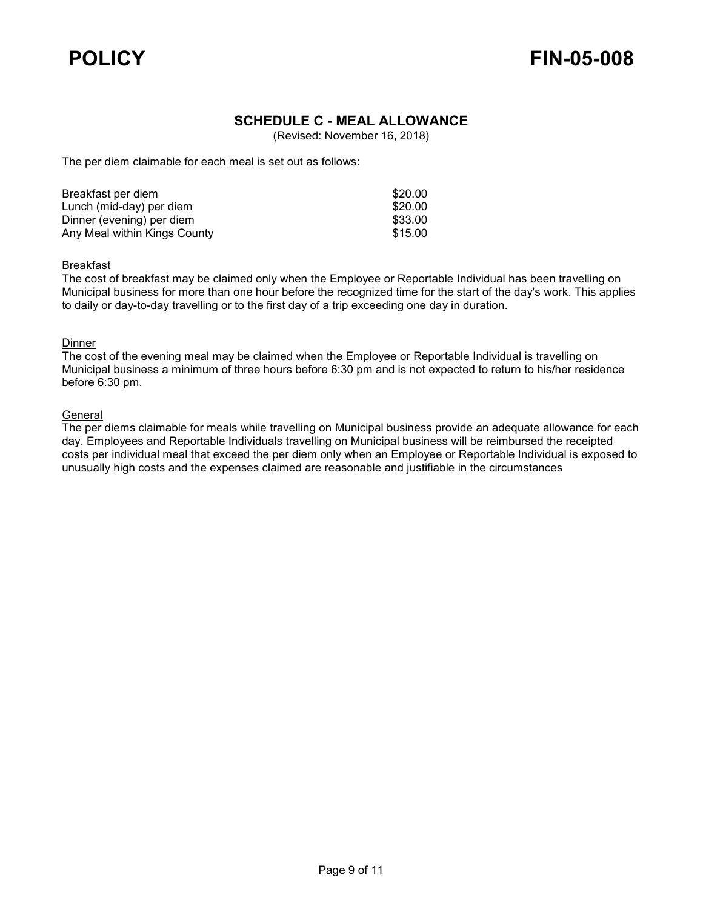

## **SCHEDULE C - MEAL ALLOWANCE**

(Revised: November 16, 2018)

The per diem claimable for each meal is set out as follows:

| Breakfast per diem           | \$20.00 |
|------------------------------|---------|
| Lunch (mid-day) per diem     | \$20.00 |
| Dinner (evening) per diem    | \$33.00 |
| Any Meal within Kings County | \$15.00 |

### Breakfast

The cost of breakfast may be claimed only when the Employee or Reportable Individual has been travelling on Municipal business for more than one hour before the recognized time for the start of the day's work. This applies to daily or day-to-day travelling or to the first day of a trip exceeding one day in duration.

### **Dinner**

The cost of the evening meal may be claimed when the Employee or Reportable Individual is travelling on Municipal business a minimum of three hours before 6:30 pm and is not expected to return to his/her residence before 6:30 pm.

### **General**

The per diems claimable for meals while travelling on Municipal business provide an adequate allowance for each day. Employees and Reportable Individuals travelling on Municipal business will be reimbursed the receipted costs per individual meal that exceed the per diem only when an Employee or Reportable Individual is exposed to unusually high costs and the expenses claimed are reasonable and justifiable in the circumstances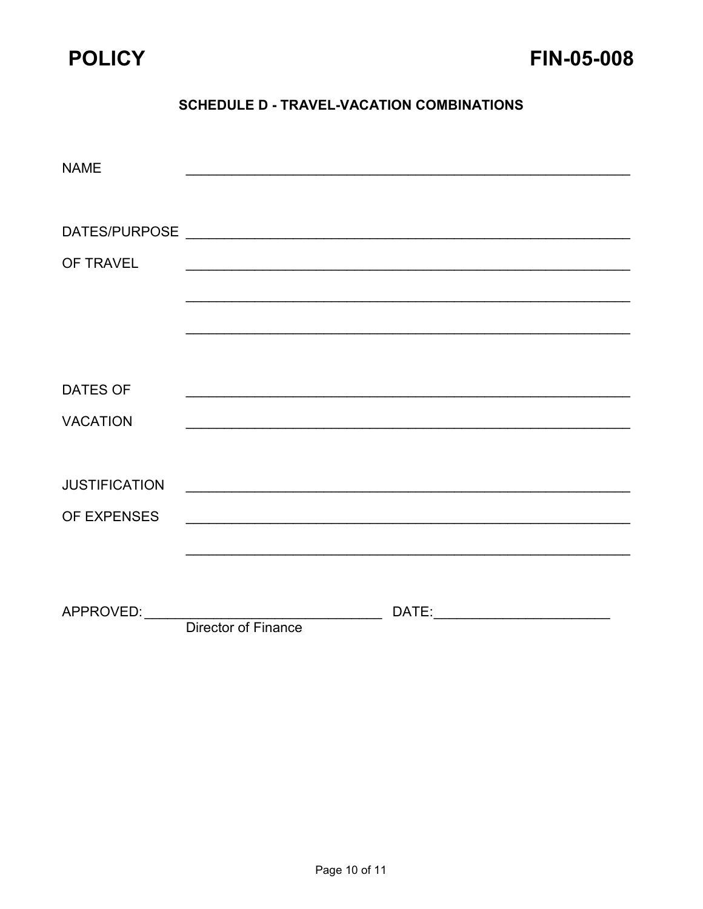

## **SCHEDULE D - TRAVEL-VACATION COMBINATIONS**

| <b>NAME</b>          |                                                                                               |  |
|----------------------|-----------------------------------------------------------------------------------------------|--|
|                      |                                                                                               |  |
|                      |                                                                                               |  |
|                      |                                                                                               |  |
| OF TRAVEL            |                                                                                               |  |
|                      |                                                                                               |  |
|                      |                                                                                               |  |
|                      |                                                                                               |  |
|                      |                                                                                               |  |
| <b>DATES OF</b>      |                                                                                               |  |
| <b>VACATION</b>      | and the control of the control of the control of the control of the control of the control of |  |
|                      |                                                                                               |  |
| <b>JUSTIFICATION</b> |                                                                                               |  |
| OF EXPENSES          |                                                                                               |  |
|                      |                                                                                               |  |
|                      |                                                                                               |  |
|                      |                                                                                               |  |
| APPROVED: APPROVED:  | Director of Finance                                                                           |  |